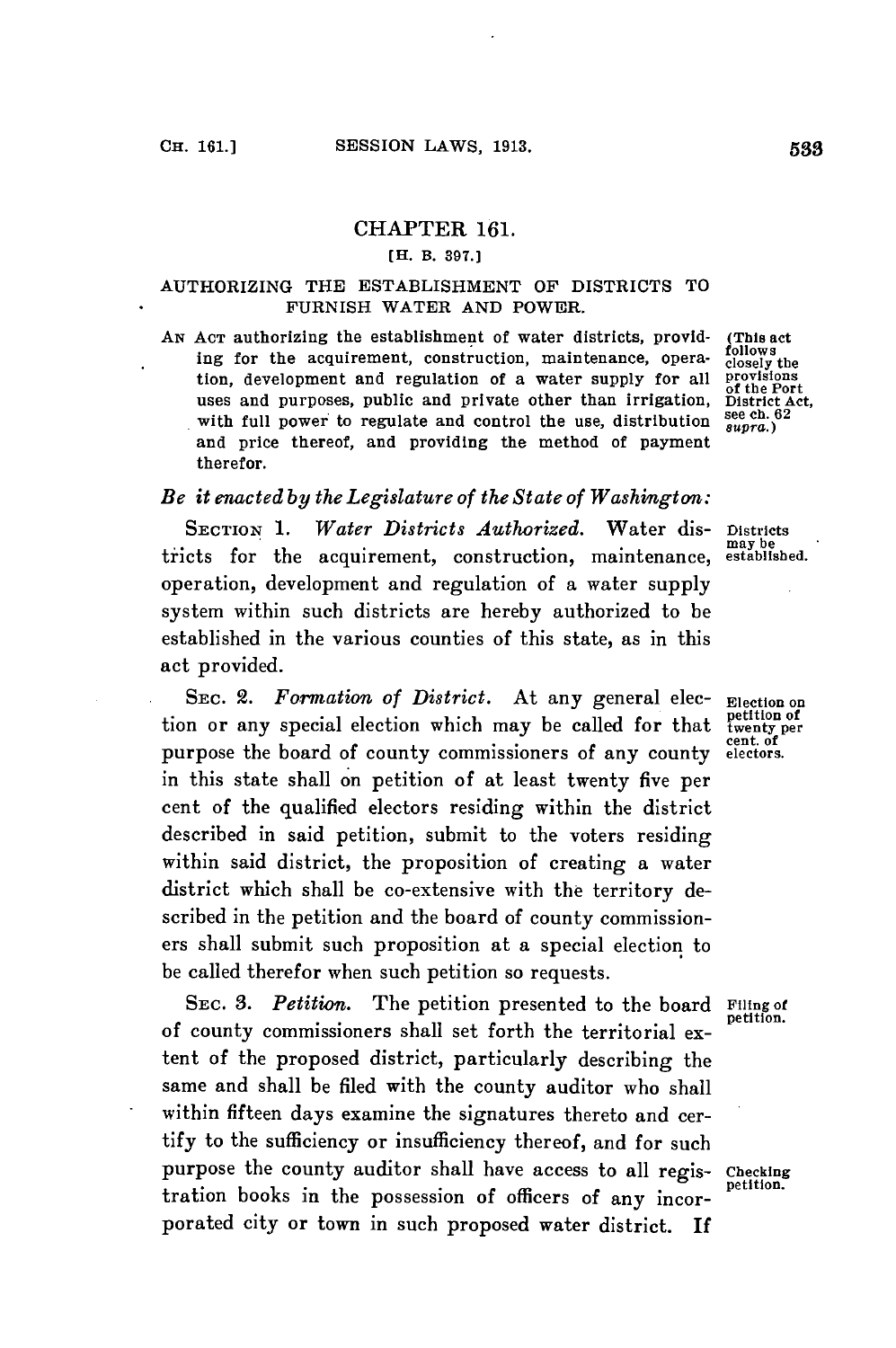### CHAPTER **161.**

### **[H. B. 397.]**

### AUTHORIZING THE ESTABLISHMENT OF DISTRICTS TO **FURNISH** WATER **AND** POWER.

*AN* **ACT** authorizing the establishment of water districts, provid- **(This** act ing for the acquirement, construction, maintenance, opera- closely the<br>tion, development and regulation of a water sunnly for all provisions tion, development and regulation of a water supply for all provisions uses and purposes, public and private other than irrigation, District Act,<br>
uses and purposes, public and private other than irrigation, **District Act,** with full power to regulate and control the use, distribution  $\frac{\text{see } \text{cn. t}}{\text{s} \text{upra.}}$ and price thereof, and providing the method of payment therefor.

# *Be it enacted by the Legislature of the State of Washington:*

**SECTION 1.** Water Districts Authorized. Water dis- Districts and Districts tricts for the acquirement, construction, maintenance, established. operation, development and regulation of a water supply system within such districts are hereby authorized to be established in the various counties of this state, as in this act provided.

SEC. 2. *Formation of District*. At any general elec- **Election of**<br>tion or any special election which may be called for that twenty per<br>purpose the board of county commissioners of any county electors. purpose the board of county commissioners of any county in this state shall on petition of at least twenty five per cent of the qualified electors residing within the district described in said petition, submit to the voters residing within said district, the proposition of creating a water district which shall be co-extensive with the territory described in the petition and the board of county commissioners shall submit such proposition at a special election to be called therefor when such petition so requests.

**SEC. 3. Petition.** The petition presented to the board of county commissioners shall set forth the territorial extent of the proposed district, particularly describing the same and shall be filed with the county auditor who shall within fifteen days examine the signatures thereto and certify to the sufficiency or insufficiency thereof, and for such purpose the county auditor shall have access to all regis- **Checking** tration books in the possession of officers of any incorporated city or town in such proposed water district. If

Filing of<br>petition.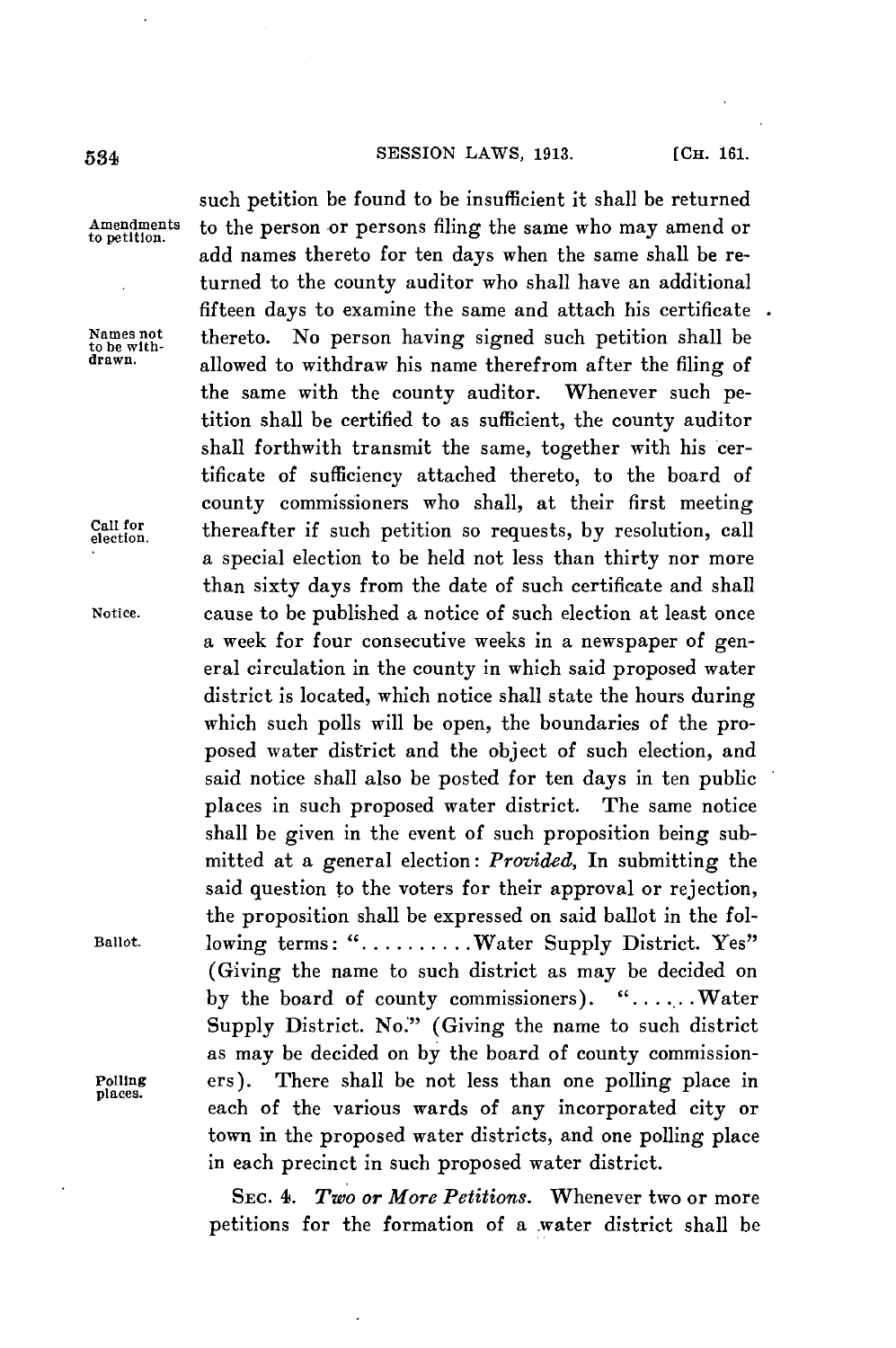## **534 SESSION LAWS, 1913.** [Сн. 161.

such petition be found to be insufficient it shall be returned **Amendments** to the person or persons filing the same who may amend or **to petition.** add names thereto for ten days when the same shall be returned to the county auditor who shall have an additional fifteen days to examine the same and attach his certificate Names not **thereto.** No person having signed such petition shall be to be with-<br> **drawn**. **allowed** to with-draw bis name than from the filing of allowed to withdraw his name therefrom after the filing of the same with the county auditor. Whenever such petition shall be certified to as sufficient, the county auditor shall forthwith transmit the same, together with his certificate of sufficiency attached thereto, to the board of county commissioners who shall, at their first meeting Call for thereafter if such petition so requests, by resolution, call a special election to be held not less than thirty nor more than sixty days from the date of such certificate and shall **Notice.** cause to be published a notice of such election at least once a week for four consecutive weeks in a newspaper of general circulation in the county in which said proposed water district is located, which notice shall state the hours during which such polls will be open, the boundaries of the proposed water district and the object of such election, and said notice shall also be posted for ten days in ten public places in such proposed water district. The same notice shall be given in the event of such proposition being submitted at a general election: *Provided,* In submitting the said question to the voters for their approval or rejection, the proposition shall be expressed on said ballot in the fol-**Ballot.** lowing terms: **............** Water Supply District. Yes" (Giving the name to such district as may be decided on **by** the board of county commissioners). **". . . ...** Water Supply District. No."' (Giving the name to such district as may be decided on **by** the board of county commission-Polling ers). There shall be not less than one polling place in each of the various wards of any incorporated city or town in the proposed water districts, and one polling place in each precinct in such proposed water district.

> **SEC.** 4. *Two or More Petitions.* Whenever two or more petitions for the formation of a water district shall be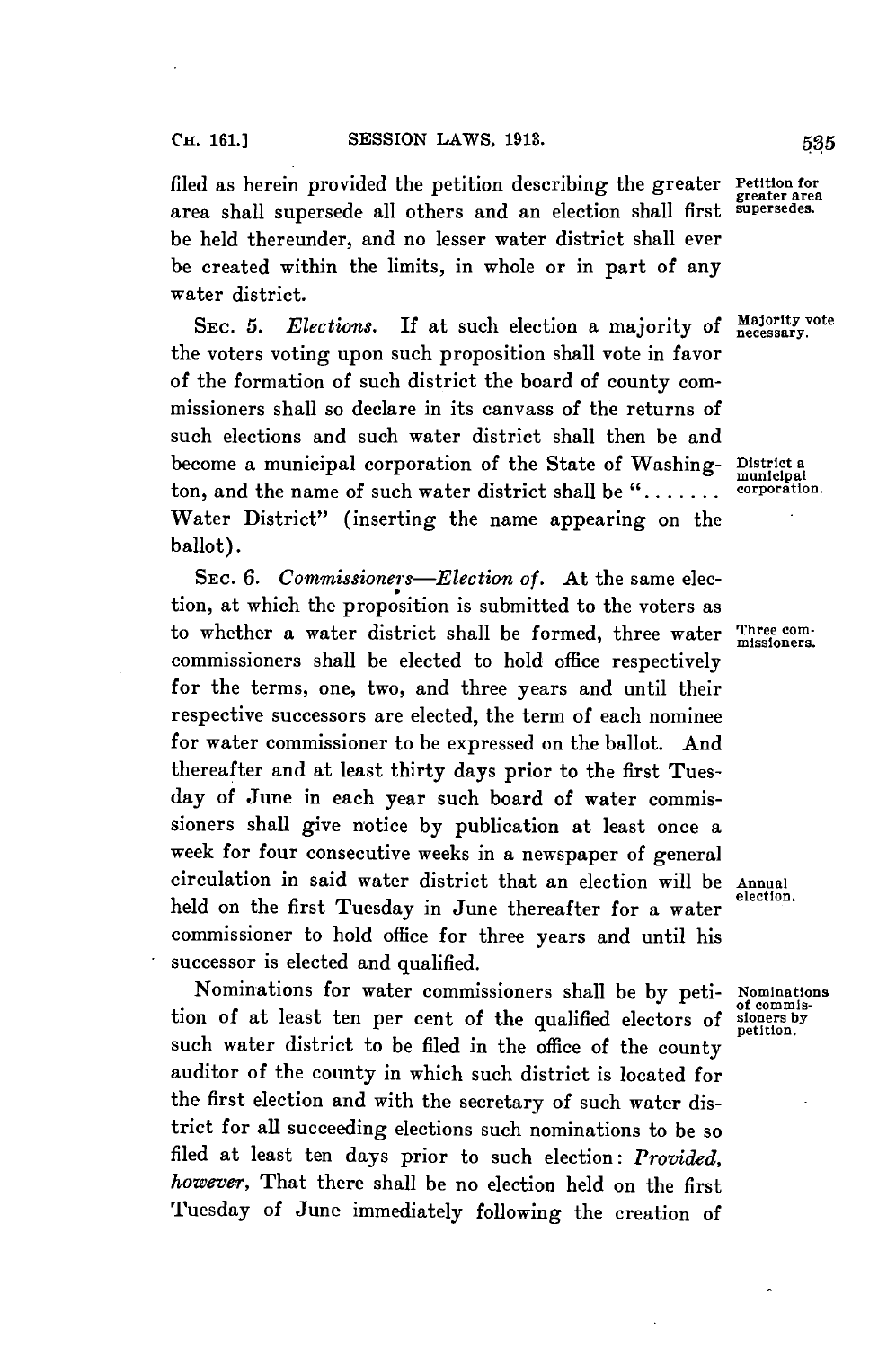filed as herein provided the petition describing the greater Petition for area shall supersede all others and an election shall first be held thereunder, and no lesser water district shall ever be created within the limits, in whole or in part of any water district.

SEC. 5. *Elections*. If at such election a majority of *Majority* vote the voters voting upon such proposition shall vote in favor of the formation of such district the board of county commissioners shall so declare in its canvass of the returns of such elections and such water district shall then be and become a municipal corporation of the State of Washing- **District a municipal** ton, and the name of such water district shall be "....... Water District" (inserting the name appearing on the ballot).

**SEC.** *6. Commissioners-Election of.* At the same election, at which the proposition is submitted to the voters as to whether a water district shall be formed, three water Three comcommissioners shall be elected to hold office respectively for the terms, one, two, and three years and until their respective successors are elected, the term of each nominee for water commissioner to be expressed on the ballot. And thereafter and at least thirty days prior to the first Tuesday of June in each year such board of water commissioners shall give notice **by** publication at least once a week for four consecutive weeks in a newspaper of general circulation in said water district that an election will be **Annual** held on the first Tuesday in June thereafter for a water commissioner to hold office for three years and until his successor is elected and qualified.

Nominations for water commissioners shall be by peti- Nominations of commistion of at least ten per cent of the qualified electors of **signetian**, such water district to be filed in the office of the county auditor of the county in which such district is located for the first election and with the secretary of such water district for all succeeding elections such nominations to be so filed at least ten days prior to such election: *Provided, however,* That there shall be no election held on the first Tuesday of June immediately following the creation of

**greater area**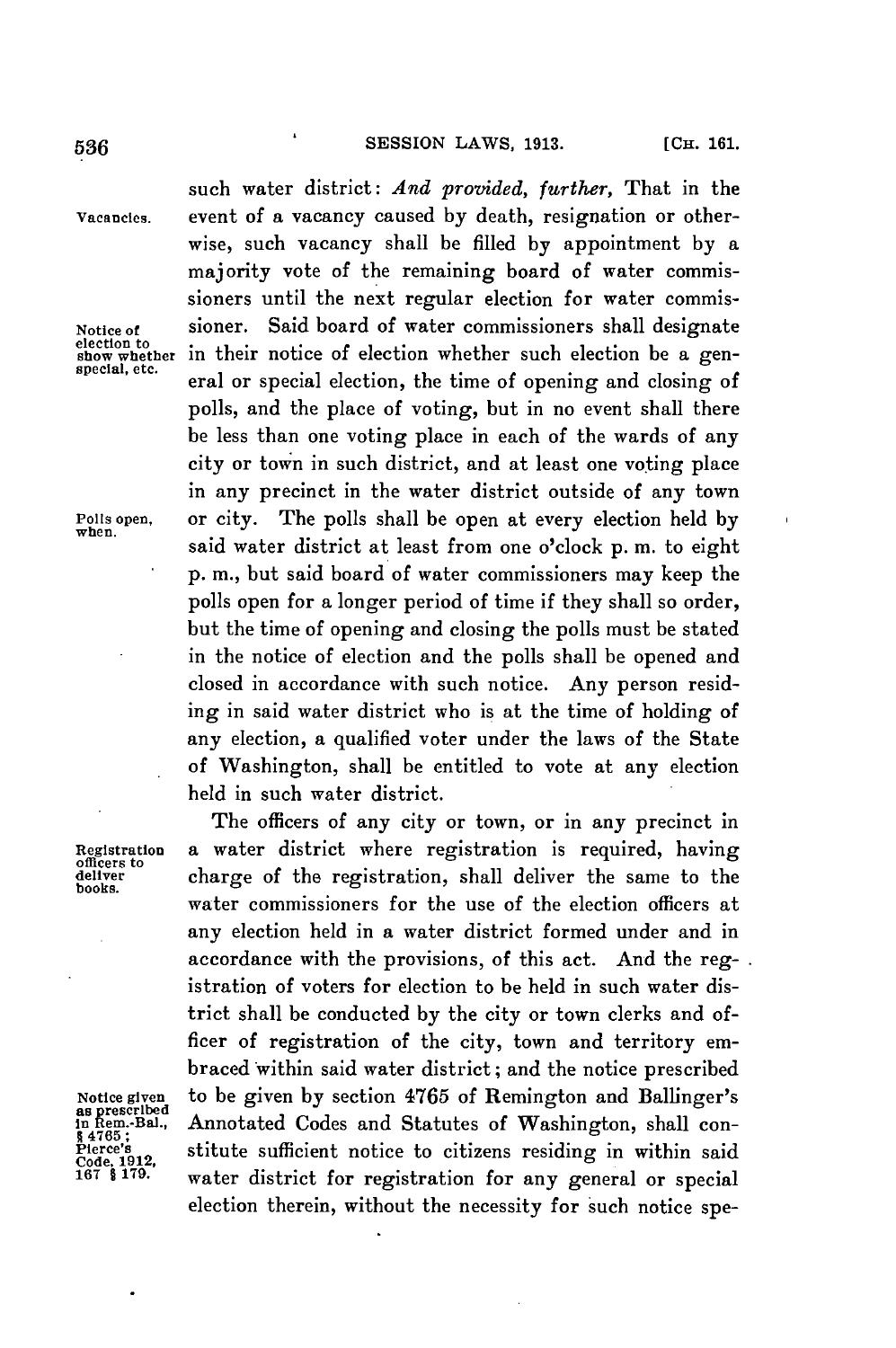**536 CH. CH. SESSION LAWS, 1913. CH. 161** 

such water district: *And provided, further,* That in the **Vacancies.** event of a vacancy caused **by** death, resignation or otherwise, such vacancy shall be filled **by** appointment **by** a majority vote of the remaining board of water commissioners until the next regular election for water commis-Notice of **sioner.** Said board of water commissioners shall designate election to **show** whether in their notice of election whether such election be a gen**show whether in** their notice of election whether such election be a gen- **special, etc.** eral or special election, the time of opening and closing of polls, and the place of voting, but in no event shall there be less than one voting place in each of the wards of any city or town in such district, and at least one voting place in any precinct in the water district outside of any town **Polls open,** or city. The polls shall be open at every election held **by when.** said water district at least from one o'clock **p.** m. to eight **p. in.,** but said board of water commissioners may keep the polls open for a longer period of time if they shall so order, but the time of opening and closing the polls must be stated in the notice of election and the polls shall be opened and closed in accordance with such notice. Any person residing in said water district who is at the time of holding of any election, a qualified voter under the laws of the State of Washington, shall be entitled to vote at any election held in such water district.

The officers of any city or town, or in any precinct in **Registration** a water district where registration is required, having officers to **deliver** charge of the registration, shall deliver the same to the **books.** water commissioners for the use of the election officers at any election **held** in a water district formed under and in accordance with the provisions, of this act. And the registration of voters for election to be held in such water district shall be conducted **by** the city or town clerks and officer of registration of the city, town and territory embraced within said water district; and the notice prescribed Notice given to be given by section 4765 of Remington and Ballinger's<br>
as prescribed<br>
in Rem.-Bal., Annotated Codes and Statutes of Washington, shall con-<br>  $R = 1765$ ;<br>
Pierce's<br>
Code, 1912,<br>
Code, 1912,<br>
167 \$ 179. water d election therein, without the necessity for such notice spe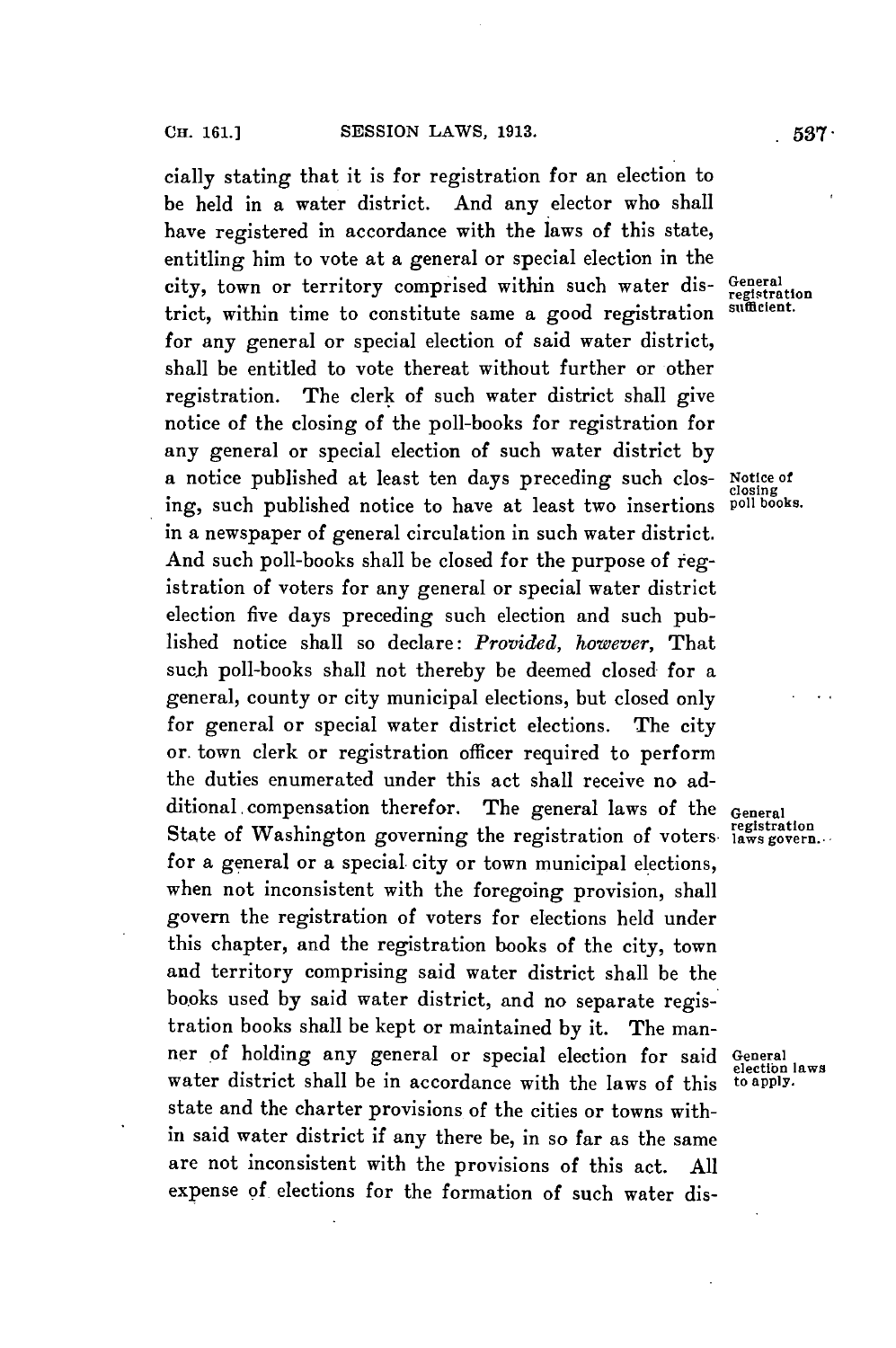cially stating that it is for registration for an election to be held in a water district. And any elector who shall have registered in accordance with the laws of this state, entitling him to vote at a general or special election in the city, town or territory comprised within such water dis- General registration trict, within time to constitute same a good registration for any general or special election of said water district, shall be entitled to vote thereat without further or other registration. The clerk of such water district shall give notice of the closing of the poll-books for registration for any general or special election of such water district **by** a notice published at least ten days preceding such clos- **Notice of closing** ing, such published notice to have at least two insertions **poll books.** in a newspaper of general circulation in such water district. And such poll-books shall be closed for the purpose of registration of voters for any general or special water district election five days preceding such election and such published notice shall so declare: *Provided, however,* That such poll-books shall not thereby be deemed closed for a general, county or city municipal elections, but closed only for general or special water district elections. The city or. town clerk or registration officer required to perform the duties enumerated under this act shall receive no additional. compensation therefor. The general laws of the **General** State of Washington governing the registration of voters laws govern... for a general or a special city or town municipal elections, when not inconsistent with the foregoing provision, shall govern the registration of voters for elections held under this chapter, and the registration books of the city, town and territory comprising said water district shall be the books used **by** said water district, and no separate registration books shall be kept or maintained **by** it. The manner of holding any general or special election for said **General** water district shall be in accordance with the laws of this **to apply.** state and the charter provisions of the cities or towns within said water district if any there be, in so far as the same are not inconsistent with the provisions of this act. **All** expense of elections for the formation of such water dis-

**electibn laws**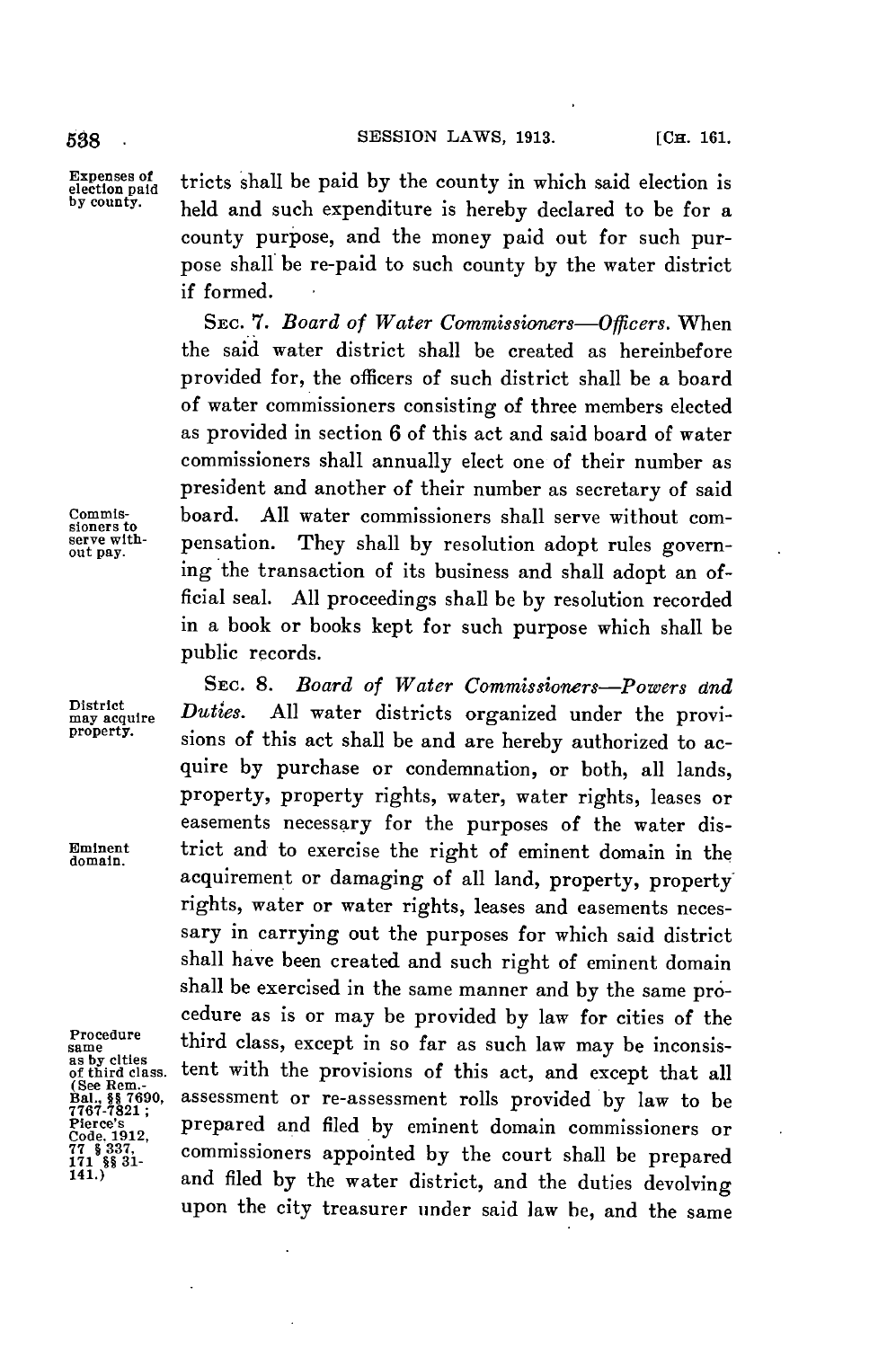538 . **SESSION LAWS, 1913.** [CH. 161.

Expenses of tricts shall be paid by the county in which said election is  $\frac{\text{b}}{\text{e}}$  by county. held and such expenditure is hereby declared to be for a county purpose, and the money paid out for such purpose shall be re-paid to such county **by** the water district if formed.

SEC. *7. Board of Water Commissioners-Officers.* When the said water district shall be created as hereinbefore provided for, the officers of such district shall be a board of water commissioners consisting of three members elected as provided in section **6** of this act and said board of water commissioners shall annually elect one of their number as president and another of their number as secretary of said **Commis-** board. **All** water commissioners shall serve without com- **sioners to serve with-** pensation. They shall **by** resolution adopt rules governing the transaction of its business and shall adopt an official seal. **All** proceedings shall be **by** resolution recorded in a book or books kept for such purpose which shall be public records.

**SEC. 8.** *Board of Water Commissioners-Powers and* District *Duties.* All water districts organized under the provi-<br>property. signs of this actual lateral deal and the contract of the set of the set of the contract of the contract of the contract of the contract of the co sions of this act shall be and are hereby authorized to acquire **by** purchase **or** condemnation, or both, all lands, property, property rights, water, water rights, leases or easements necessary for the purposes of the water dis-**Eminent** trict and to exercise the right of eminent domain in the **domain.** acquirement or damaging of all land, property, property rights, water or water rights, leases and easements necessary in carrying out the purposes for which said district shall have been created and such right of eminent domain shall be exercised in the same manner and **by** the same procedure as is or may be provided **by** law for cities of the **oedure** third class, except in so far as such law may be inconsistent with the provisions of this act, and except that all assessment or re-assessment rolls provided by law to be prepared and filed by eminent domain commissioners or commissioners appointed **by** the court shall be prepared and filed by the water district, and the duties devolving upon the city treasurer under said law be, and the same

as by clties<br>of third class.<br>(See Rem.-<br>Bal., §§ 7690,<br>7767-7821; **77 171 § §§ 337, 31-**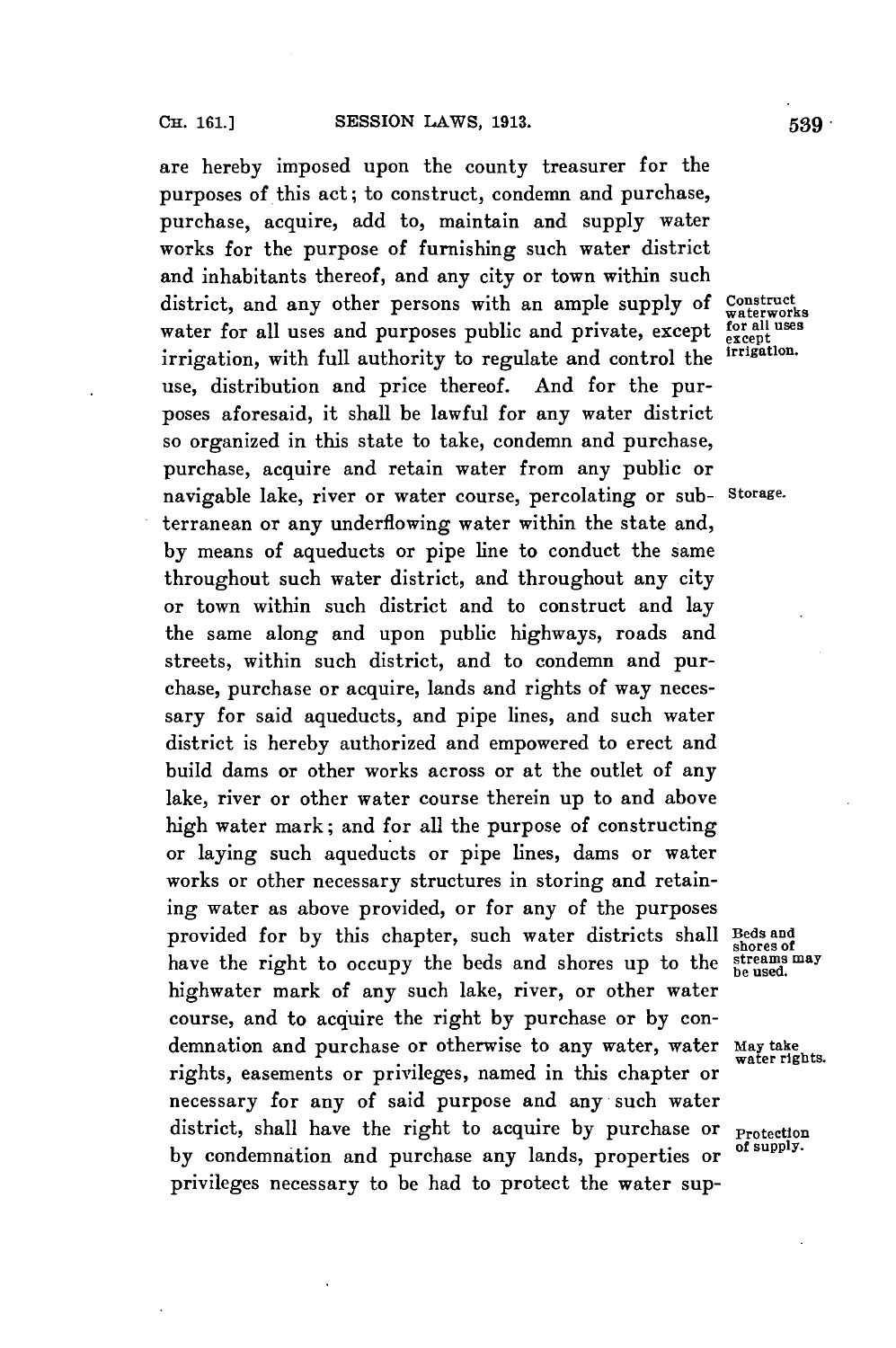are hereby imposed upon the county treasurer **for** the purposes of this act; to construct, condemn and purchase, purchase, acquire, add to, maintain and supply water works for the purpose of furnishing such water district and inhabitants thereof, and any city or town within such district, and any other persons with an ample supply of Construct waterworks water for all uses and purposes public and private, except **for all uses**<br>innication with full outhority to require and control the inigation. irrigation, with full authority to regulate and control the use, distribution and price thereof. And for the purposes aforesaid, it shall be lawful for any water district so organized in this state to take, condemn and purchase, purchase, acquire and retain water from any public or navigable lake, river or water course, percolating or sub- **Storage.** terranean or any underflowing water within the state and, **by** means of aqueducts or pipe line to conduct the same throughout such water district, and throughout any city or town within such district and to construct and lay the same along and upon public highways, roads and streets, within such district, and to condemn and purchase, purchase or acquire, lands and rights of way necessary for said aqueducts, and pipe lines, and such water district is hereby authorized and empowered to erect and build dams or other works across or at the outlet of any lake, river or other water course therein up to and above high water mark; and for all the purpose of constructing or laying such aqueducts or pipe lines, dams or water works or other necessary structures in storing and retaining water as above provided, or for any of the purposes provided for **by** this chapter, such water districts shall **Beds and** have the right to occupy the beds and shores up to the highwater mark of any such lake, river, or other water course, and to acquire the right **by** purchase or **by** condemnation and purchase or otherwise to any water, water **May take water rights.** rights, easements or privileges, named in this chapter or necessary for any of said purpose and any such water district, shall have the right to acquire **by** purchase or **Protection by** condemnation and purchase any lands, properties or **of suppl.** privileges necessary to be had to protect the water sup-

streams may<br>be used.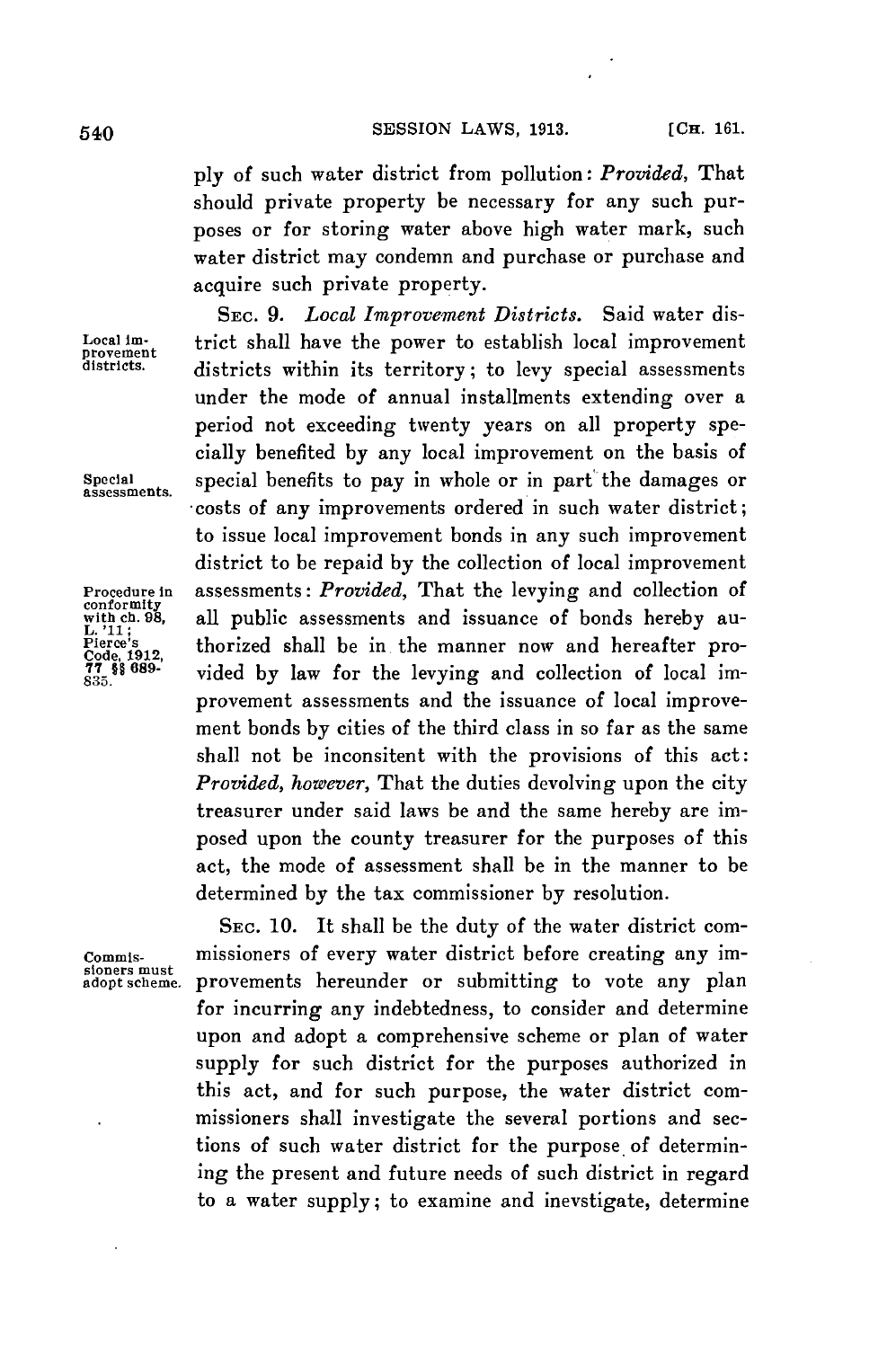*ply* of such water district from pollution: *Provided,* That should private property be necessary for any such purposes or for storing water above high water mark, such water district may condemn and purchase or purchase and acquire such private property.

**SEC. 9.** *Local Improvement Districts.* Said water dis-**Local im-** trict shall have the power to establish local improvement **provement districts.** districts within its territory; to levy special assessments under the mode of annual installments extending over a period not exceeding twenty years on all property specially benefited **by** any local improvement on the basis of **special** special benefits to pay in whole or in part the damages or assessments. costs of any improvements ordered in such water district; to issue local improvement bonds in any such improvement district to be repaid **by** the collection of local improvement **Procedure in** assessments: *Provided,* That the levying and collection of all public assessments and issuance of bonds hereby au-Pierce's thorized shall be in the manner now and hereafter pro-<br>Code, 1912, vided by law for the levying and collection of local im-**835.** vided **by** law for the levying and collection of local improvement assessments and the issuance of local improvement bonds **by** cities of the third class in so far as the same shall not be inconsitent with the provisions of this act: *Provided, however,* That the duties devolving upon the city treasurer under said laws be and the same hereby are imposed upon the county treasurer for the purposes of this act, the mode of assessment shall be in the manner to be determined **by** the tax commissioner **by** resolution.

**SEC. 10.** It shall be the duty of the water district com-**Commis-** missioners of every water district before creating any improvements hereunder or submitting to vote any plan for incurring any indebtedness, to consider and determine upon and adopt a comprehensive scheme or plan of water supply for such district for the purposes authorized in this act, and for such purpose, the water district commissioners shall investigate the several portions and sections of such water district for the purpose of determining the present and future needs of such district in regard to a water supply; to examine and inevstigate, determine

conformity<br>with ch. 98,<br>L.'11;<br>Pierce's

**sloners must**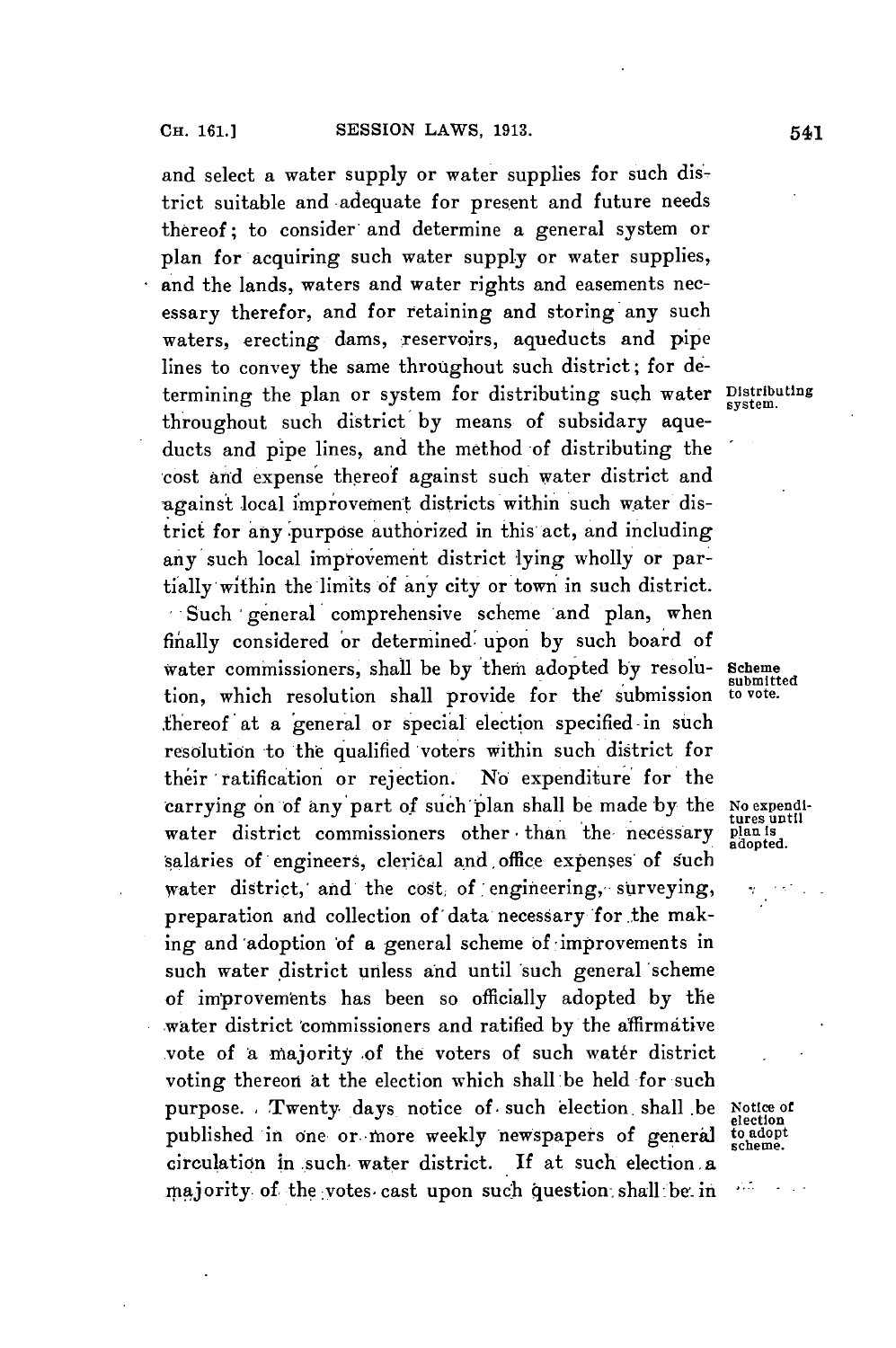and select a water supply or water supplies for such district suitable and adequate for present and future needs thereof; to consider and determine a general system or plan for acquiring such water supply or water supplies, and the lands, waters and water rights and easements necessary therefor, and for retaining and storing any such waters, erecting dams, reservoirs, aqueducts and pipe lines to convey the same throughout such district; for determining the plan or system for distributing such water **Distributing** throughout such district by means of subsidary aqueducts and pipe lines, and the method of distributing the cost and expense thereof against such water district and against local improvement districts within such water district for any purpose authorized in this act, and including any such local improvement district lying wholly or partially within the limits of any city or town in such district. Such general comprehensive scheme and plan, when finally considered 'or determined upon **by** such board of water commissioners, shall be by 'them adopted **by** resolu- Scheme tion, which resolution shall provide for the submission fhereof at a 'general or special election specified -in such resolution 'to the qualified voters within such district for their ratification or rejection. **No** expenditure for the carrying on of any part of such plan shall be made **by** the **No expendi**water district commissioners other than the necessary plan is 'salaries of engineers, clerical and office expenses *of such* water district, and the cost of engineering, surveying, preparation and collection of'data necessary for .the making and adoption **of** a general scheme of'improvements in such water district unless and until such general 'scheme of improvements has been so officially adopted **by** the water district commissioners and ratified by the affirmative vote of a majority of the voters of such water district voting thereon at the election which shall be held for such purpose. Twenty days notice of such election shall be Notice of published in one or more weekly newspapers of general circulation in .such, water district. **If** at such election. a majority of the votes cast upon such question shall be in

submitted<br>to vote.

**tures** until

**election scheme.**

 $\mathbf{1}$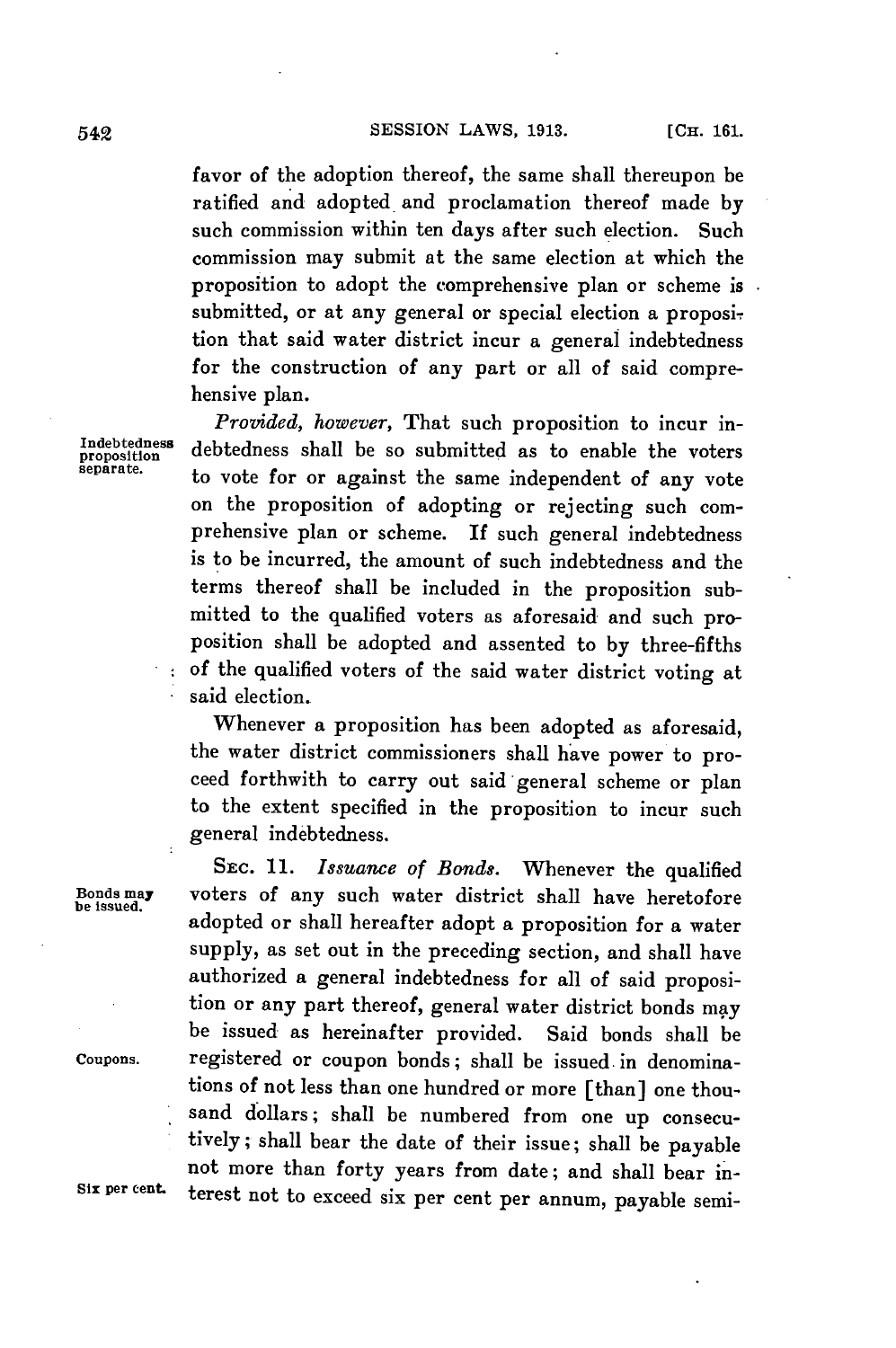favor of the adoption thereof, the same shall thereupon be ratified and adopted and proclamation thereof made **by** such commission within ten days after such election. Such commission may submit at the same election at which the proposition to adopt the comprehensive plan or scheme is submitted, or at any general or special election a proposition that said water district incur a general indebtedness for the construction of any part or all of said comprehensive plan.

*Provided, however,* That such proposition to incur in-Indebtedness debtedness shall be so submitted as to enable the voters separate. to vote for or against the same independent of any vote on the proposition of adopting or rejecting such comprehensive plan or scheme. If such general indebtedness is to be incurred, the amount of such indebtedness and the terms thereof shall be included in the proposition submitted to the qualified voters as aforesaid and such proposition shall be adopted and assented to **by** three-fifths of the qualified voters of the said water district voting at said election.

> Whenever a proposition has been adopted as aforesaid, the water district commissioners shall have power to proceed forthwith to carry out said general scheme or plan to the extent specified in the proposition to incur such general indebtedness.

SEC. *11. Issuance of Bonds.* Whenever the qualified **Bonds may** voters of any such water district shall have heretofore **be issued.** adopted or shall hereafter adopt a proposition for a water supply, as set out in the preceding section, and shall have authorized a general indebtedness for all of said proposition or any part thereof, general water district bonds may be issued as hereinafter provided. Said bonds shall be **Coupons.** registered or coupon bonds; shall be issued. in denominations of not less than one hundred or more [than] one thousand dollars; shall be numbered from one up consecutively; shall bear the date of their issue; shall be payable not more than forty years from date; and shall bear in-Six per cent terest not to exceed six per cent per annum, payable semi-

 $\mathcal{L}^{\pm}$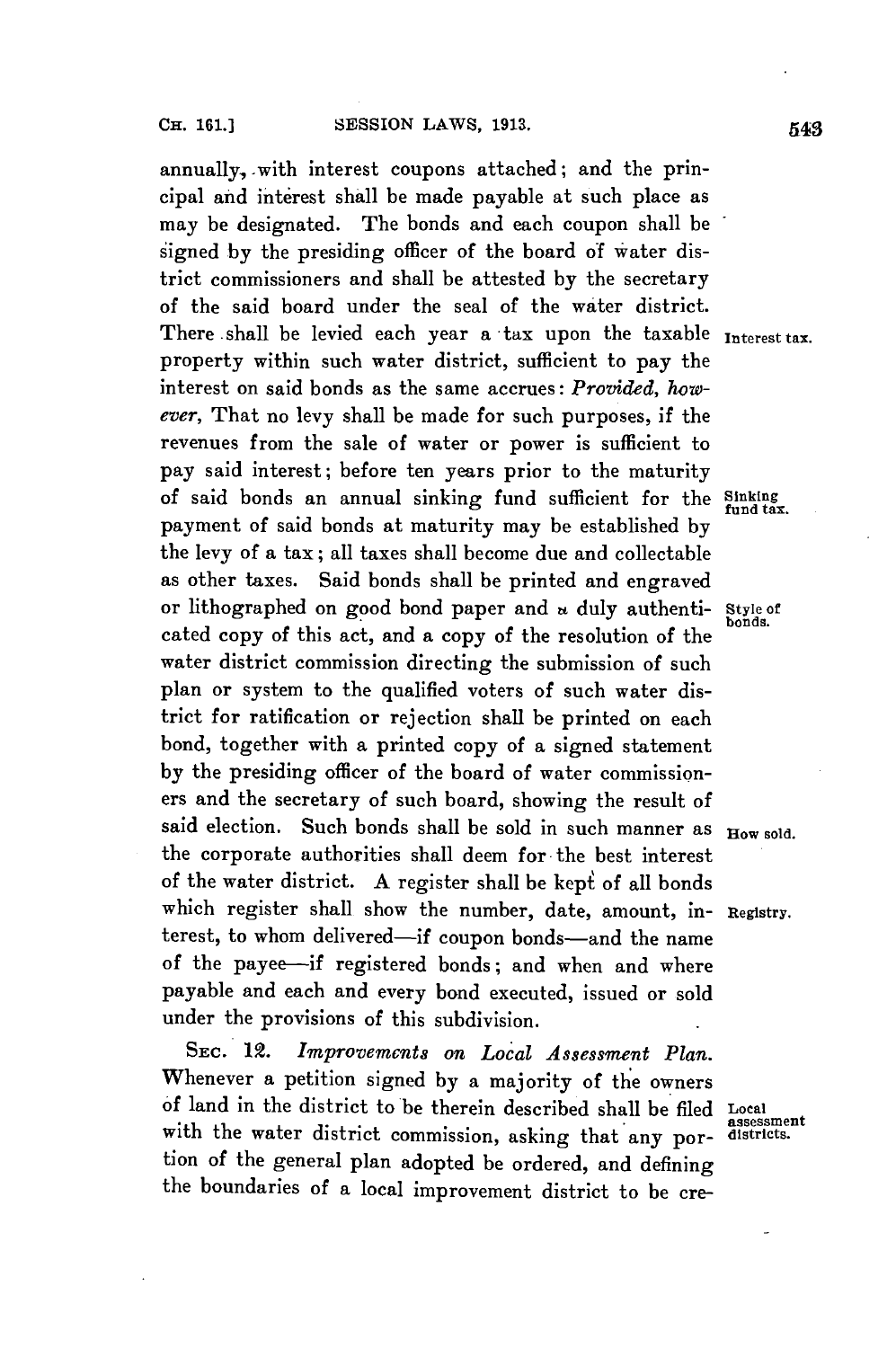annually, with interest coupons attached; and the principal and interest shall be made payable at such place as may be designated. The bonds and each coupon shall be signed **by** the presiding officer of the board of water district commissioners and shall be attested **by** the secretary of the said board under the seal of the water district. There -shall be levied each year a tax upon the taxable **Interest tax.** property within such water district, sufficient to pay the interest on said bonds as the same accrues: *Provided, however,* That no levy shall be made for such purposes, if the revenues from the sale of water or power is sufficient to pay said interest; before ten years prior to the maturity of said bonds an annual sinking fund sufficient for the **Sinking fund tax.** payment of said bonds at maturity may be established **by** the levy of a tax; all taxes shall become due and collectable as other taxes. Said bonds shall be printed and engraved or lithographed on good bond paper and **n** duly authenti- **Style of** cated copy of this act, and a copy of the resolution of the water district commission directing the submission of such plan or system to the qualified voters of such water district for ratification or rejection shall be printed on each bond, together with a printed copy of a signed statement **by** the presiding officer of the board of water commissioners and the secretary of such board, showing the result of said election. Such bonds shall be sold in such manner as  $_{\text{How sold}}$ . the corporate authorities shall deem for-the best interest of the water district. A register shall be kept of all bonds which register shall show the number, date, amount, in- **Registry.** terest, to whom delivered-if coupon bonds-and the name of the payee-if registered bonds; and when and where payable and each and every bond executed, issued or sold under the provisions of this subdivision.

**SEC.** 12. *Improvements on Local Assessment Plan.* Whenever a petition signed **by** a majority of the owners of land in the district to be therein described shall be filed **Local** with the water district commission, asking that any por- districts. tion of the general plan adopted be ordered, and defining the boundaries of a local improvement district to be cre-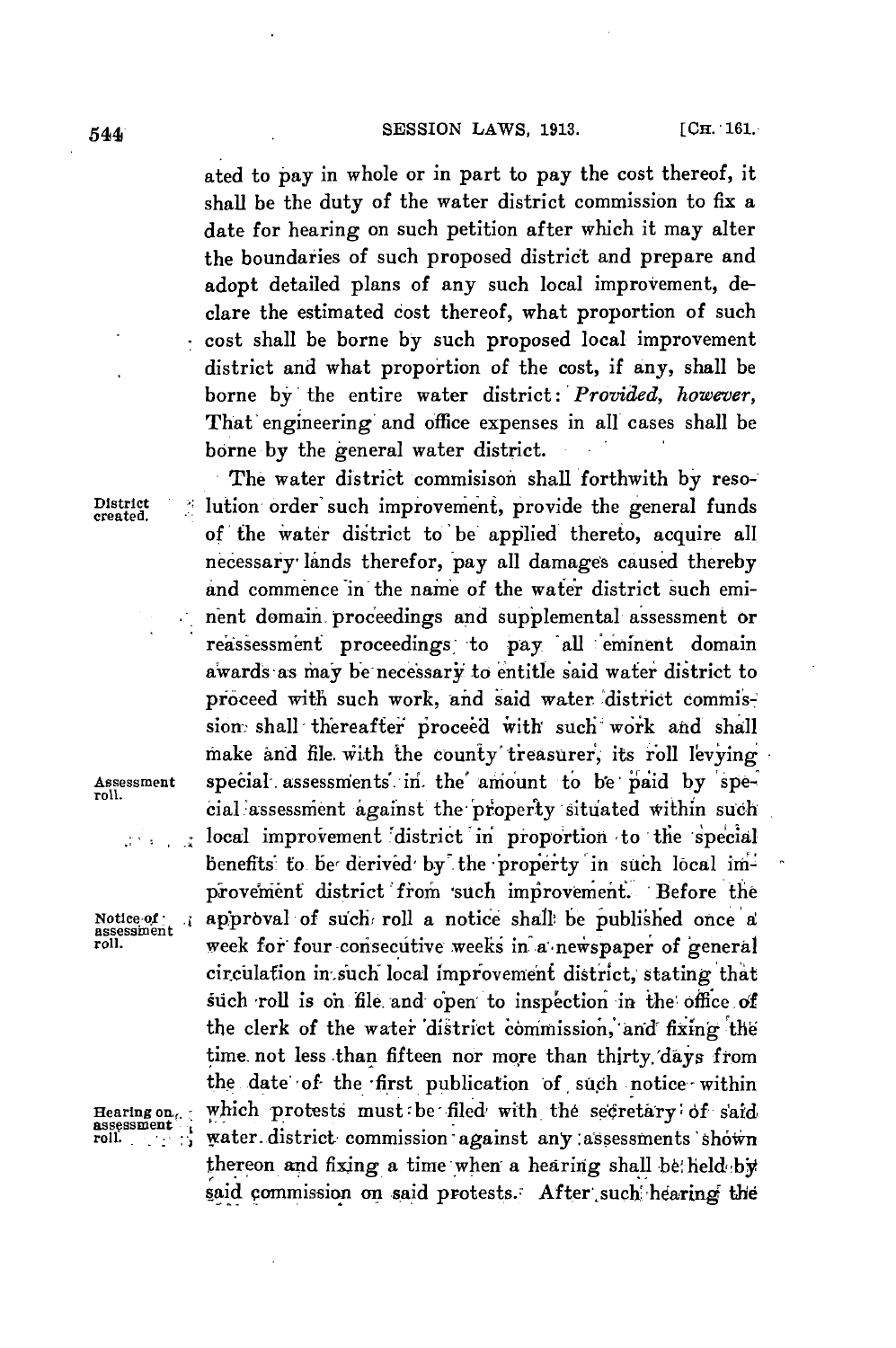ated to pay in whole or in part to pay the cost thereof, it shall be the duty of the water district commission to fix a date for hearing on such petition after which it may alter the boundaries of such proposed district and prepare and adopt detailed plans of any such local improvement, declare the estimated cost thereof, what proportion of such cost shall be borne **by** such proposed local improvement district and what proportion of the cost, if any, shall be borne by the entire water *district: Provided, however,* That' engineering and office expenses in all cases shall be borne **by** the general water district.

 $\mathcal{L}^{\mathcal{A}}$  and  $\mathcal{L}^{\mathcal{A}}$ 

**The** water district commisison shall forthwith **by** reso-District **... lution order such improvement**, provide the general funds of the water district to be apjlied thereto, acquire all necessary, lands therefor, pay all damages caused thereby and commence in the name of the water district such eminent domain proceedings and supplemental assessment or reassessment proceedings to pay all eminent domain awards as may be necessary to entitle said water district to proceed with such work, and said water district commission: shall thereafter proceed with such work and shall make and file with the county treasurer, its roll levying Assessment special . assessnients., in'. the' amount to **be-** jaid **by** spe- roll. cial assessment against the property situated within such local improvement district in proportion to the special benefits to be derived by the property in such local improvement district from such improvement. Before the Notice of . approval of such roll a notice shall be published once a roll. week for four consecutive weeks in a newspaper of general circulation in such local improvement district, stating that such roll is on file and open to inspection in the office of the clerk of the water district commission, and fixing the time not less .than fifteen nor more than thirty. days *from* the date' of- the -first publication of **,** such notice **-**within Hearing on<sub>ce i</sub> which protests must be filed with the secretary of said<br>assessment<br>roll. water. district commission against any assessments shown thereon and fixing a time when a hearing shall be held by said commission on said protests. After such hearing the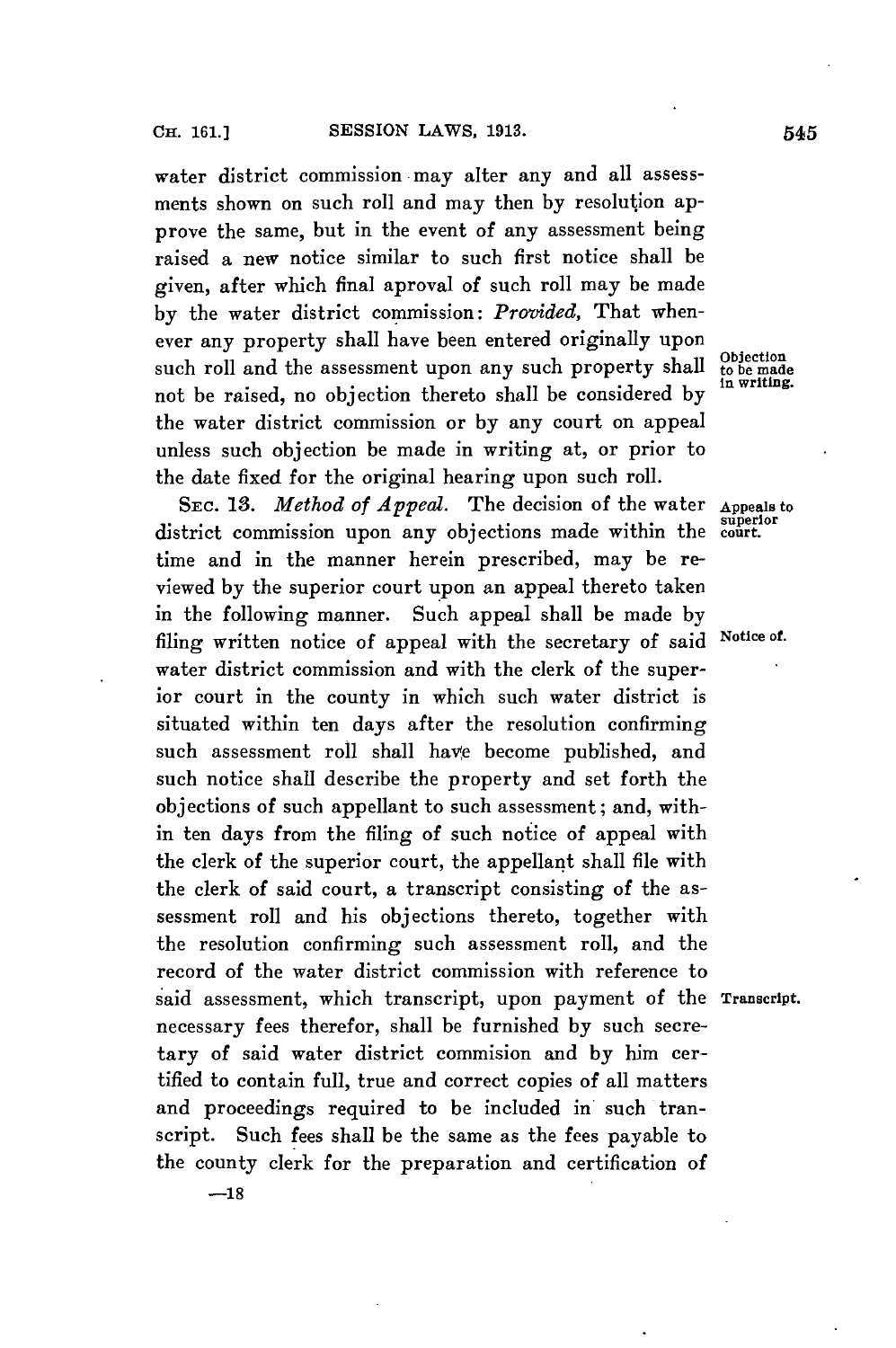water district commission may alter any and all assessments shown on such roll and may then **by** resolution approve the same, but in the event of any assessment being raised a new notice similar to such first notice shall be given, after which final aproval of such roll may be made **by** the water district commission: *Provided,* That whenever any property shall have been entered originally upon such roll and the assessment upon any such property shall tobecause of the made to be made to be made to be made to be made in writing. not be raised, no objection thereto shall be considered by the water district commission or **by** any court on appeal unless such objection be made in writing at, or prior to the date fixed for the original hearing upon such roll.

**SEC. 13.** *Method of Appeal.* The decision of the water **Appeals to** district commission upon any objections made within the time and in the manner herein prescribed, may be reviewed **by** the superior court upon an appeal thereto taken in the following manner. Such appeal shall be made **by** filing written notice of appeal with the secretary of said **Notice of.** water district commission and with the clerk of the superior court in the county in which such water district is situated within ten days after the resolution confirming such assessment roll shall have become published, and such notice shall describe the property and set forth the objections of such appellant to such assessment; and, within ten days from the filing of such notice of appeal with the clerk of the superior court, the appellant shall file with the clerk of said court, a transcript consisting of the assessment roll and his objections thereto, together with the resolution confirming such assessment roll, and the record of the water district commission with reference to said assessment, which transcript, upon payment of the **Transcript.** necessary fees therefor, shall be furnished **by** such secretary of said water district commision and **by** him certified to contain full, true and correct copies of all matters and proceedings required to be included in such transcript. Such fees shall be the same as the fees payable to the county clerk for the preparation and certification of

**superior**

**-18**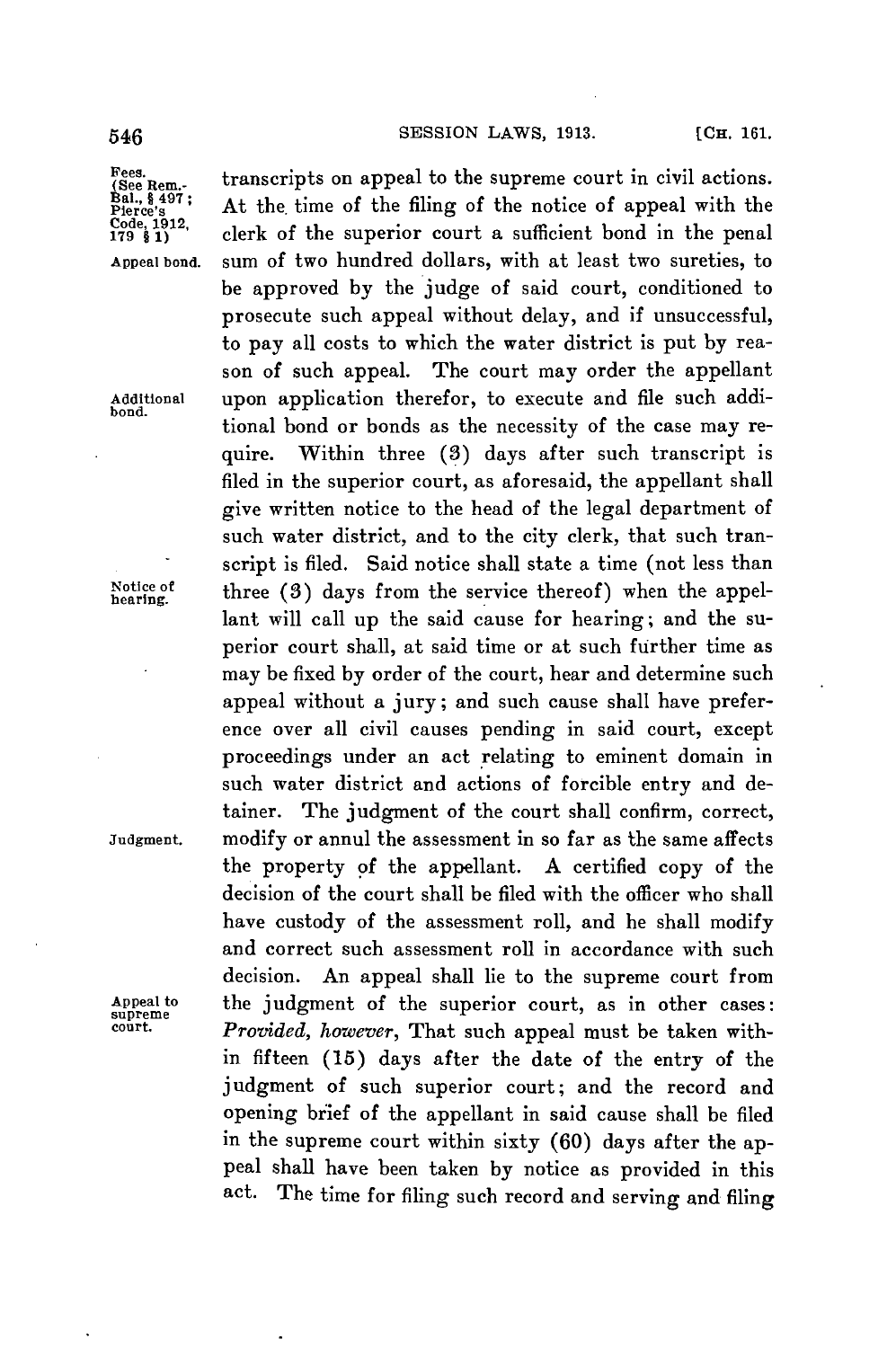**Code, 1912,**

**bond.**

Fees. **Rem.-** transcripts on appeal to the supreme court in civil actions. Fees. **i** transcripts on appeal to the supreme court in civil actions.<br>Bal., § 497; At the time of the filing of the notice of appeal with the<br>Plerce's **179 i 1)** clerk of the superior court a sufficient bond in the penal **Appeal bond.** sum **of** two hundred dollars, with at least two sureties, to be approved **by** the judge of said court, conditioned to prosecute such appeal without delay, and if unsuccessful, to pay all costs to which the water district is put **by** reason of such appeal. The court may order the appellant **Additional** upon application therefor, to execute and file such additional bond or bonds as the necessity of the case may require. Within three **(3)** days after such transcript is filed in the superior court, as aforesaid, the appellant shall give written notice to the head of the legal department of such water district, and to the city clerk, that such transcript is filed. Said notice shall state a time (not less than Notice of three (3) days from the service thereof) when the appellant will call up the said cause for hearing; and the superior court shall, at said time or at such further time as may be fixed **by** order of the court, hear and determine such appeal without a jury; and such cause shall have preference over all civil causes pending in said court, except proceedings under an act relating to eminent domain in such water district and actions of forcible entry and detainer. The judgment of the court shall confirm, correct, **Judgment.** modify or annul the assessment in so far as the same affects the property **of** the appellant. **A** certified copy of the decision of the court shall be filed with the officer who shall have custody of the assessment roll, and he shall modify and correct such assessment roll in accordance with such decision. An appeal shall lie to the supreme court from Appeal to the judgment of the superior court, as in other cases:<br>supreme<br>court. Provided horsers That such appeal must be taken with Provided, however, That such appeal must be taken within fifteen **(15)** days after the date of the entry of the judgment of such superior court; and the record and opening brief of the appellant in said cause shall be filed in the supreme court within sixty **(60)** days after the appeal shall have been taken **by** notice as provided in this act. The time for filing such record and serving and filing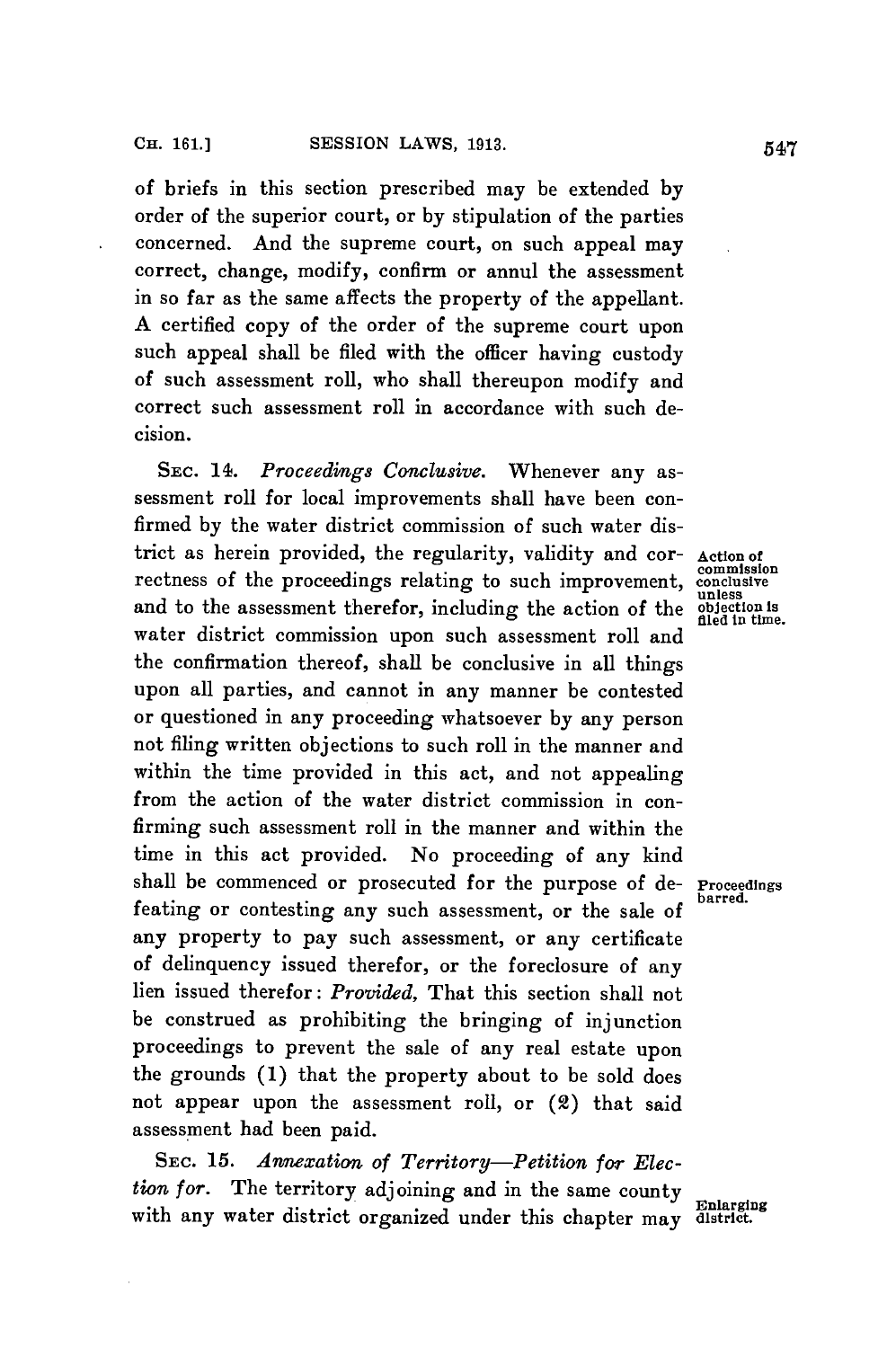of briefs in this section prescribed may be extended **by** order of the superior court, or **by** stipulation of the parties concerned. And the supreme court, on such appeal may correct, change, modify, confirm or annul the assessment in so far as the same affects the property of the appellant. **A** certified copy of the order of the supreme court upon such appeal shall be filed with the officer having custody of such assessment roll, who shall thereupon modify and correct such assessment roll in accordance with such decision.

**SEC.** 14. *Proceedings Conclusive.* Whenever any assessment roll for local improvements shall have been confirmed **by** the water district commission of such water district as herein provided, the regularity, validity and cor- Action of<br>rectness of the proceedings relating to such improvement, conclusive rectness of the proceedings relating to such improvement, commiss and to the assessment therefor, including the action of the objection is water district commission upon such assessment roll and the confirmation thereof, shall be conclusive in all things upon all parties, and cannot in any manner be contested or questioned in any proceeding whatsoever **by** any person not filing written objections to such roll in the manner and within the time provided in this act, and not appealing from the action of the water district commission in confirming such assessment roll in the manner and within the time in this act provided. No proceeding of any kind shall be commenced or prosecuted for the purpose of de- Proceedings feating or contesting any such assessment, or the sale of any property to pay such assessment, or any certificate of delinquency issued therefor, or the foreclosure of any lien issued therefor: *Provided,* That this section shall not be construed as prohibiting the bringing of injunction proceedings to prevent the sale of any real estate upon the grounds **(1)** that the property about to be sold does not appear upon the assessment roll, or (2) that said assessment had been paid.

**SEC.** *15. Annexation of Territory-Petition for Election for.* The territory adjoining and in the same county with any water district organized under this chapter may district.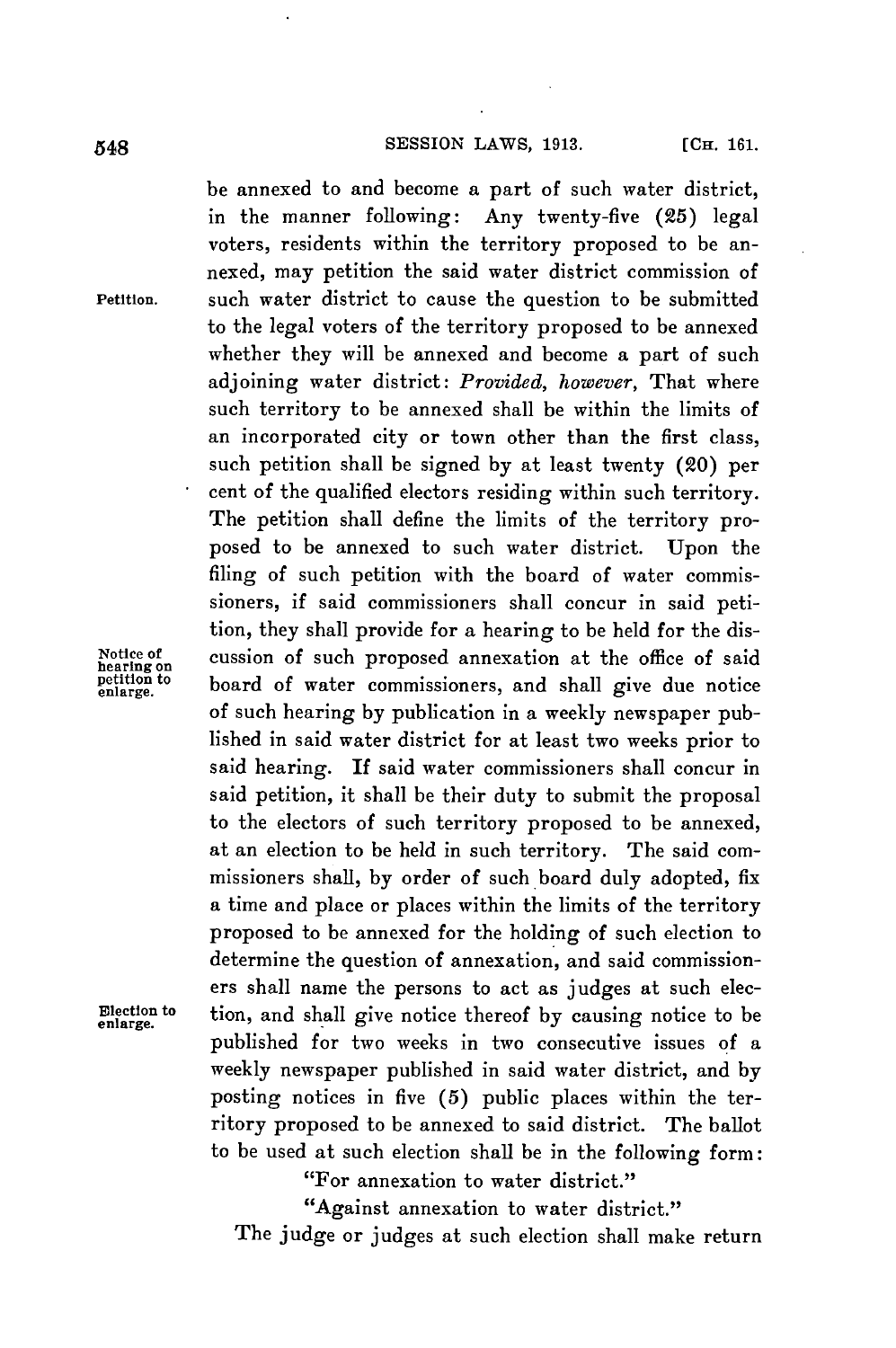be annexed to and become a part of such water district, in the manner following: Any twenty-five **(25)** legal voters, residents within the territory proposed to be annexed, may petition the said water district commission of Petition. such water district to cause the question to be submitted to the legal voters of the territory proposed to be annexed whether they will be annexed and become a part of such adjoining water district: *Provided, however,* That where such territory to be annexed shall be within the limits of an incorporated city or town other than the first class, such petition shall be signed **by** at least twenty (20) per cent of the qualified electors residing within such territory. The petition shall define the limits of the territory proposed to be annexed to such water district. Upon the filing of such petition with the board of water commissioners, if said commissioners shall concur in said petition, they shall provide for a hearing to be held for the dis-Notice of cussion of such proposed annexation at the office of said hearing on  $\frac{1}{\text{eta}}$  beard of water commissioners, and shall give due notice petition to board of water commissioners, and shall give due notice of such hearing **by** publication in a weekly newspaper published in said water district for at least two weeks prior to said hearing. **If** said water commissioners shall concur in said petition, it shall be their duty to submit the proposal to the electors of such territory proposed to be annexed, at an election to be held in such territory. The said commissioners shall, **by** order of such, board duly adopted, fix a time and place or places within the limits of the territory proposed to be annexed for the holding of such election to determine the question of annexation, and said commissioners shall name the persons to act as judges at such elec-Election to tion, and shall give notice thereof **by** causing notice to be enlarge. published for two weeks in two consecutive issues **of** a weekly newspaper published in said water district, and **by** posting notices in five **(5)** public places within the territory proposed to be annexed to said district. The ballot to be used at such election shall be in the following form:

"For annexation to water district."

"Against annexation to water district."

The judge or judges at such election shall make return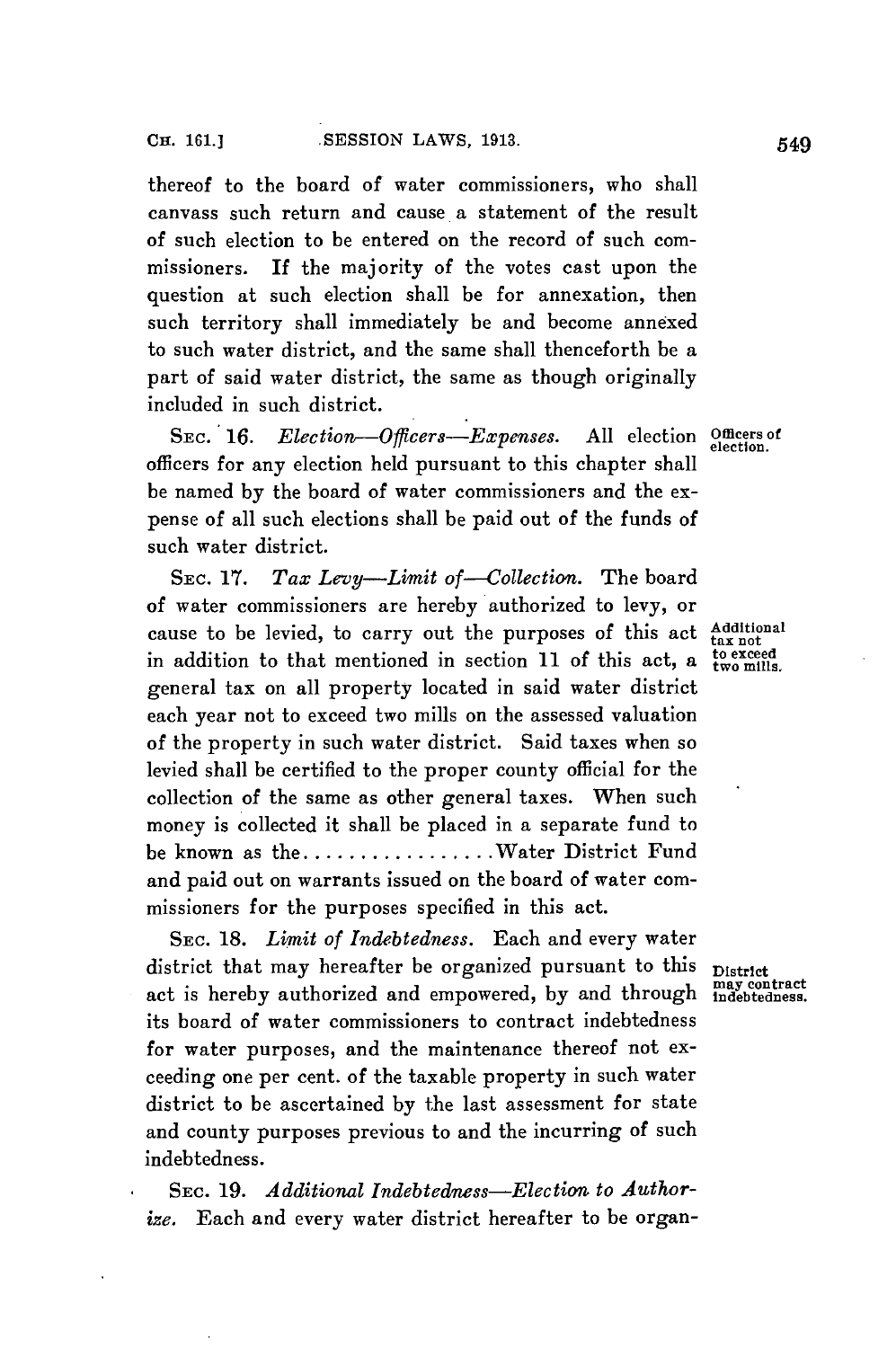thereof to the board of water commissioners, who shall canvass such return and cause a statement of the result of such election to be entered on the record of such commissioners. If the majority of the votes cast upon the question at such election shall be for annexation, then such territory shall immediately be and become annexed to such water district, and the same shall thenceforth be a part of said water district, the same as though originally included in such district.

**SEC.** *16. Election-Officers-Expenses.* **All** election Officers of officers for any election held pursuant to this chapter shall be named **by** the board of water commissioners and the expense of all such elections shall be paid out of the funds of such water district.

SEc. **17.** *Tax Levy-Limit of-Collection.* The board of water commissioners are hereby authorized to levy, or cause to be levied, to carry out the purposes of this act Additiona in addition to that mentioned in section  $\overline{11}$  of this act, a  $\overline{\text{to } \text{even}}$ general tax on all property located in said water district each year not to exceed two mills on the assessed valuation of the property in such water district. Said taxes when so levied shall be certified to the proper county official for the collection of the same as other general taxes. When such money is collected it shall be placed in a separate fund to be known as **the................Water** District Fund and paid out on warrants issued on the board of water commissioners for the purposes specified in this act.

SEC. **18.** *Limit of Indebtedness.* Each and every water district that may hereafter be organized pursuant to this  $\frac{D}{D}$  istrict act is hereby authorized and empowered, by and through  $\frac{mag}{100}$  contract act is hereby authorized and empowered, by and through its board of water commissioners to contract indebtedness for water purposes, and the maintenance thereof not exceeding one per cent. of the taxable property in such water district to be ascertained **by** the last assessment for state and county purposes previous to and the incurring of such indebtedness.

SEC. **19.** *Additional Indebtedness-Election to Authorize.* Each and every water district hereafter to be organ-

**electi on.**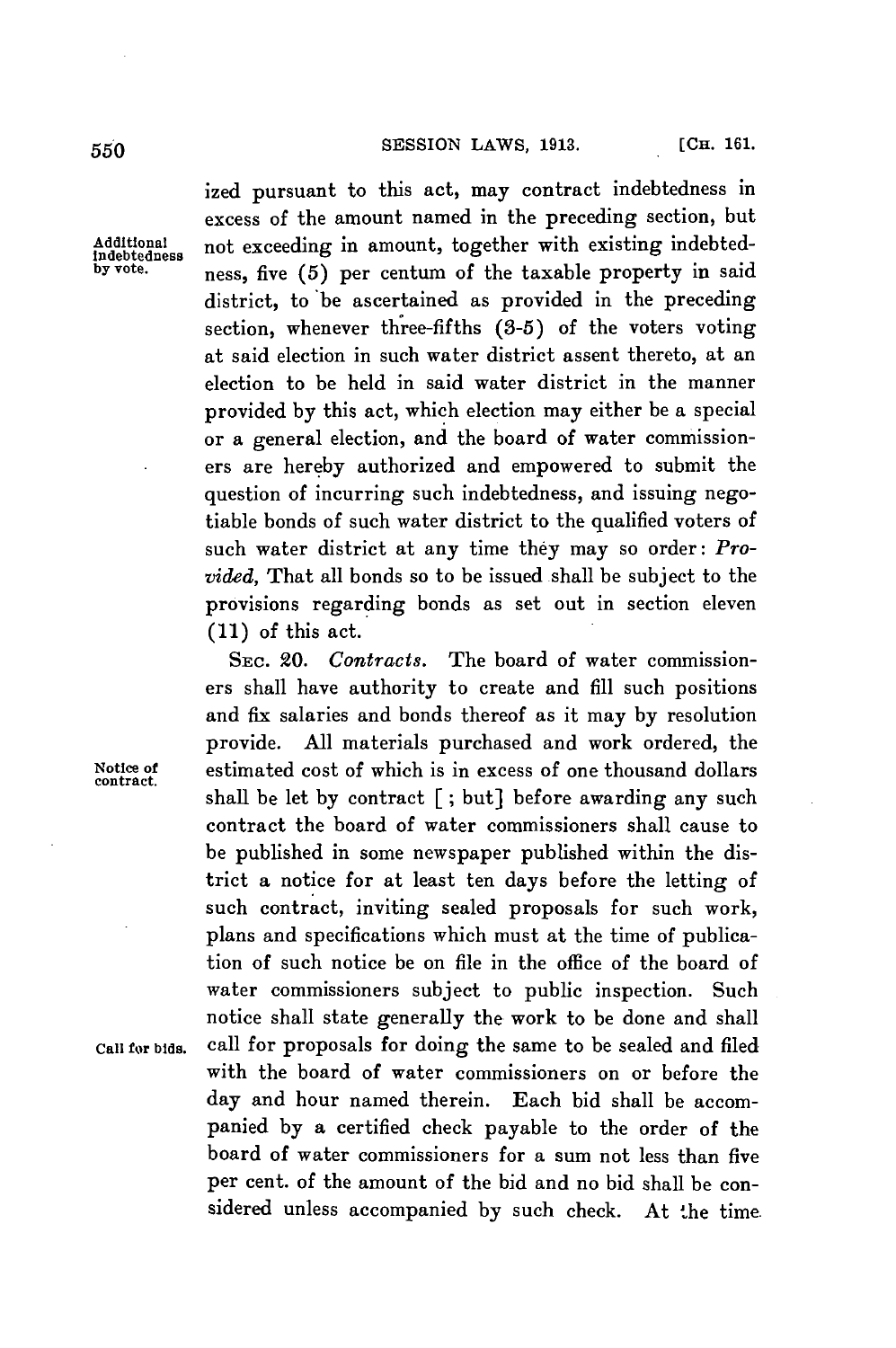**SESSION** LAWS, **1913. [CH. 161.** *550*

ized pursuant to this act, may contract indebtedness in excess of the amount named in the preceding section, but Additional not exceeding in amount, together with existing indebted-<br>
Indebtedness **by** vote. ness, five (5) per centum of the taxable property in said district, to 'be ascertained as provided in the preceding section, whenever three-fifths *(3-5)* of the voters voting at said election in such water district assent thereto, at an election to be held in said water district in the manner provided **by** this act, which election may either be a special or a general election, and the board of water commissioners are hereby authorized and empowered to submit the question of incurring such indebtedness, and issuing negotiable bonds of such water district to the qualified voters of such water district at any time they may so order: *Provided,* That all bonds so to be issued shall be subject to the provisions regarding bonds as set out in section eleven **(11)** of this act.

SEc. 20. *Contracts.* The board of water commissioners shall have authority to create and **fill** such positions and fix salaries and bonds thereof as it may **by** resolution provide. **All** materials purchased and work ordered, the Notice of estimated cost of which is in excess of one thousand dollars shall be let **by** contract **[;** but] before awarding any such contract the board of water commissioners shall cause to be published in some newspaper published within the district a notice for at least ten days before the letting of such contract, inviting sealed proposals for such work, plans and specifications which must at the time of publication of such notice be on file in the office of the board of water commissioners subject to public inspection. Such notice shall state generally the work to be done and shall Call for bids. call for proposals for doing the same to be sealed and filed with the board of water commissioners on or before the day and hour named therein. Each bid shall be accompanied **by** a certified check payable to the order of the board of water commissioners for a sum not less than five per cent. of the amount of the bid and no bid shall be considered unless accompanied **by** such check. At the time.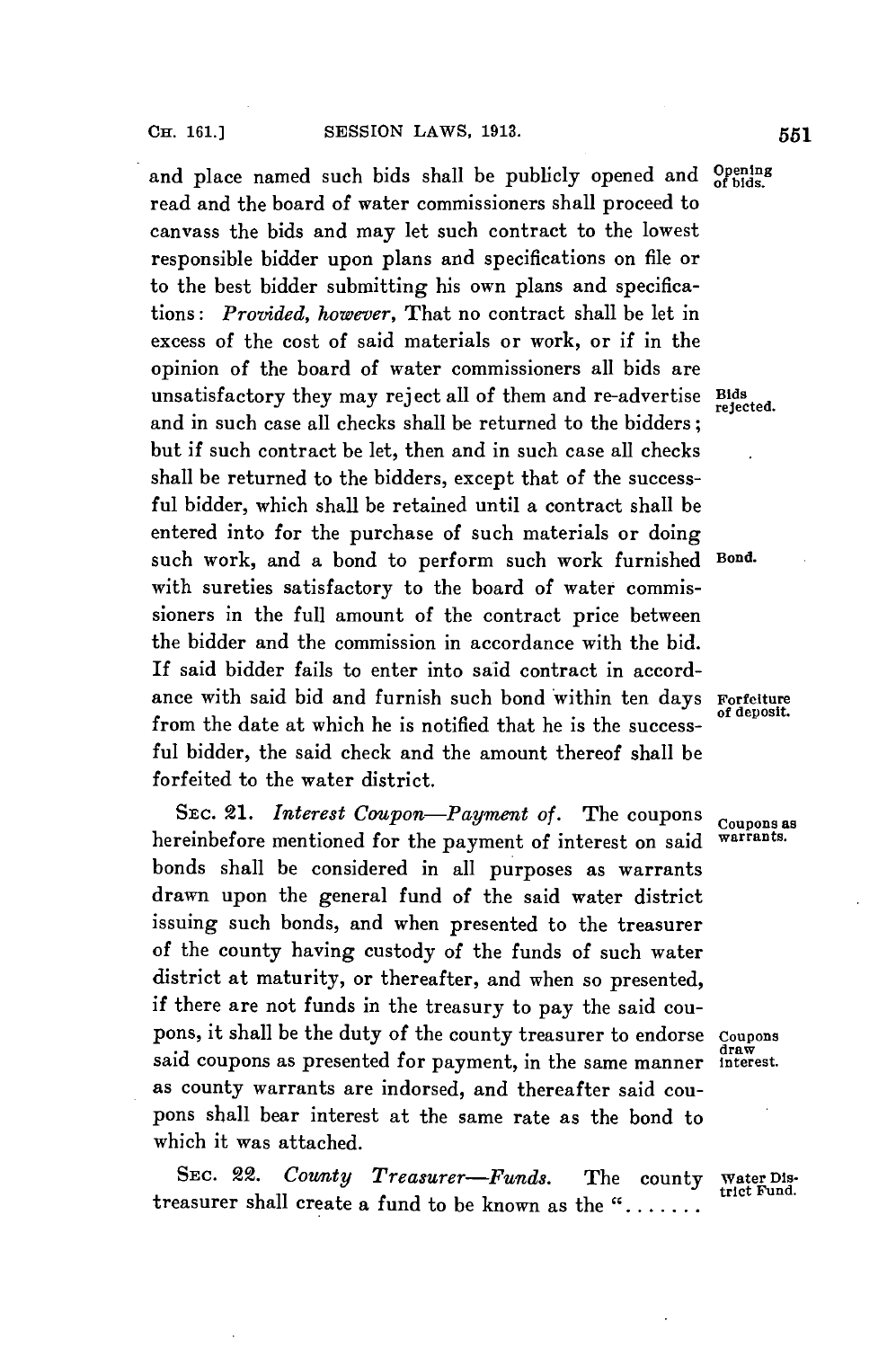and place named such bids shall be publicly opened and **Opening** read and the board of water commissioners shall proceed to canvass the bids and may let such contract to the lowest responsible bidder upon plans and specifications on file or to the best bidder submitting his own plans and specifications: *Provided, however,* That no contract shall be let in excess of the cost of said materials or work, or if in the opinion of the board of water commissioners all bids are unsatisfactory they may reject all of them and re-advertise Bids refected. and in such case all checks shall be returned to the bidders; but if such contract be let, then and in such case all checks shall be returned to the bidders, except that of the successful bidder, which shall be retained until a contract shall be entered into for the purchase of such materials or doing such work, and a bond to perform such work furnished Bond. with sureties satisfactory to the board of water commissioners in the full amount of the contract price between the bidder and the commission in accordance with the bid. If said bidder fails to enter into said contract in accordance with said bid and furnish such bond within ten days **Forfeiture of deposit.** from the date at which he is notified that he is the successful bidder, the said check and the amount thereof shall be forfeited to the water district.

SEc. £1. *Interest Coupon-Payment of.* The coupons **coupons as** hereinbefore mentioned for the payment of interest on said bonds shall be considered in all purposes as warrants drawn upon the general fund of the said water district issuing such bonds, and when presented to the treasurer of the county having custody of the funds of such water district at maturity, or thereafter, and when so presented, if there are not funds in the treasury to pay the said coupons, it shall be the duty of the county treasurer to endorse Coupons said coupons as presented for payment, in the same manner interest. as county warrants are indorsed, and thereafter said coupons shall bear interest at the same rate as the bond to which it was attached.

SEC. 22. *County Treasurer-Funds.* The county water **Dis**treasurer shall create a fund to be known as the ".......